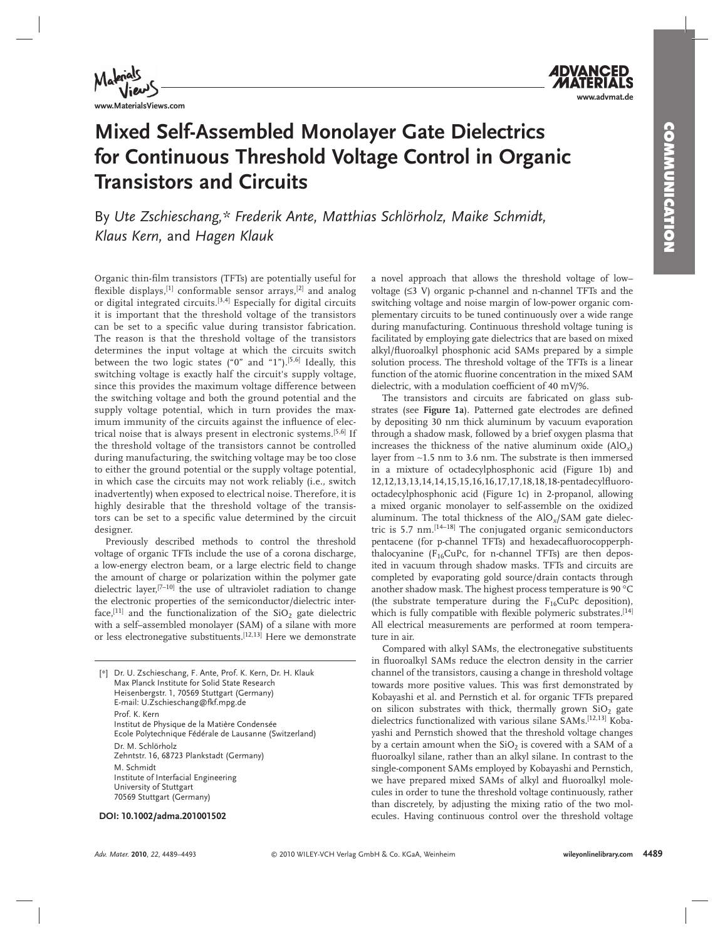

**www.advmat.de**

### **Mixed Self-Assembled Monolayer Gate Dielectrics for Continuous Threshold Voltage Control in Organic Transistors and Circuits**

By Ute Zschieschang,\* Frederik Ante, Matthias Schlörholz, Maike Schmidt,  *Klaus Kern ,* and *Hagen Klauk* 

Organic thin-film transistors (TFTs) are potentially useful for flexible displays,<sup>[1]</sup> conformable sensor arrays,<sup>[2]</sup> and analog or digital integrated circuits.<sup>[3,4]</sup> Especially for digital circuits it is important that the threshold voltage of the transistors can be set to a specific value during transistor fabrication. The reason is that the threshold voltage of the transistors determines the input voltage at which the circuits switch between the two logic states  $("0"$  and  $"1"$ ).<sup>[5,6]</sup> Ideally, this switching voltage is exactly half the circuit's supply voltage, since this provides the maximum voltage difference between the switching voltage and both the ground potential and the supply voltage potential, which in turn provides the maximum immunity of the circuits against the influence of electrical noise that is always present in electronic systems.<sup>[5,6]</sup> If the threshold voltage of the transistors cannot be controlled during manufacturing, the switching voltage may be too close to either the ground potential or the supply voltage potential, in which case the circuits may not work reliably (i.e., switch inadvertently) when exposed to electrical noise. Therefore, it is highly desirable that the threshold voltage of the transistors can be set to a specific value determined by the circuit designer.

 Previously described methods to control the threshold voltage of organic TFTs include the use of a corona discharge, a low-energy electron beam, or a large electric field to change the amount of charge or polarization within the polymer gate dielectric layer,<sup>[7-10]</sup> the use of ultraviolet radiation to change the electronic properties of the semiconductor/dielectric interface,  $[11]$  and the functionalization of the SiO<sub>2</sub> gate dielectric with a self–assembled monolayer (SAM) of a silane with more or less electronegative substituents.<sup>[12,13]</sup> Here we demonstrate

| [*] | Dr. U. Zschieschang, F. Ante, Prof. K. Kern, Dr. H. Klauk<br>Max Planck Institute for Solid State Research<br>Heisenbergstr. 1, 70569 Stuttgart (Germany)<br>E-mail: U.Zschieschang@fkf.mpg.de |
|-----|------------------------------------------------------------------------------------------------------------------------------------------------------------------------------------------------|
|     | Prof. K. Kern<br>Institut de Physique de la Matière Condensée<br>Ecole Polytechnique Fédérale de Lausanne (Switzerland)                                                                        |
|     | Dr. M. Schlörholz<br>Zehntstr. 16, 68723 Plankstadt (Germany)                                                                                                                                  |
|     | M. Schmidt<br>Institute of Interfacial Engineering<br>University of Stuttgart<br>70569 Stuttgart (Germany)                                                                                     |

a novel approach that allows the threshold voltage of low– voltage (≤3 V) organic p-channel and n-channel TFTs and the switching voltage and noise margin of low-power organic complementary circuits to be tuned continuously over a wide range during manufacturing. Continuous threshold voltage tuning is facilitated by employing gate dielectrics that are based on mixed alkyl/fluoroalkyl phosphonic acid SAMs prepared by a simple solution process. The threshold voltage of the TFTs is a linear function of the atomic fluorine concentration in the mixed SAM dielectric, with a modulation coefficient of 40 mV/%.

 The transistors and circuits are fabricated on glass substrates (see Figure 1a). Patterned gate electrodes are defined by depositing 30 nm thick aluminum by vacuum evaporation through a shadow mask, followed by a brief oxygen plasma that increases the thickness of the native aluminum oxide  $(AlO<sub>x</sub>)$ layer from ∼ 1.5 nm to 3.6 nm. The substrate is then immersed in a mixture of octadecylphosphonic acid (Figure 1b) and 12,12,13,13,14,14,15,15,16,16,17,17,18,18,18-pentadecylfluorooctadecylphosphonic acid (Figure 1c) in 2-propanol, allowing a mixed organic monolayer to self-assemble on the oxidized aluminum. The total thickness of the AlO<sub>x</sub>/SAM gate dielectric is 5.7  $\text{nm}$ .  $\left[14-18\right]$  The conjugated organic semiconductors pentacene (for p-channel TFTs) and hexadecafluorocopperphthalocyanine ( $F_{16}$ CuPc, for n-channel TFTs) are then deposited in vacuum through shadow masks. TFTs and circuits are completed by evaporating gold source/drain contacts through another shadow mask. The highest process temperature is 90 °C (the substrate temperature during the  $F_{16}$ CuPc deposition), which is fully compatible with flexible polymeric substrates.<sup>[14]</sup> All electrical measurements are performed at room temperature in air.

 Compared with alkyl SAMs, the electronegative substituents in fluoroalkyl SAMs reduce the electron density in the carrier channel of the transistors, causing a change in threshold voltage towards more positive values. This was first demonstrated by Kobayashi et al. and Pernstich et al. for organic TFTs prepared on silicon substrates with thick, thermally grown  $SiO<sub>2</sub>$  gate dielectrics functionalized with various silane SAMs.<sup>[12,13]</sup> Kobayashi and Pernstich showed that the threshold voltage changes by a certain amount when the  $SiO<sub>2</sub>$  is covered with a SAM of a fluoroalkyl silane, rather than an alkyl silane. In contrast to the single-component SAMs employed by Kobayashi and Pernstich, we have prepared mixed SAMs of alkyl and fluoroalkyl molecules in order to tune the threshold voltage continuously, rather than discretely, by adjusting the mixing ratio of the two mol-  **DOI: 10.1002/adma.201001502** ecules. Having continuous control over the threshold voltage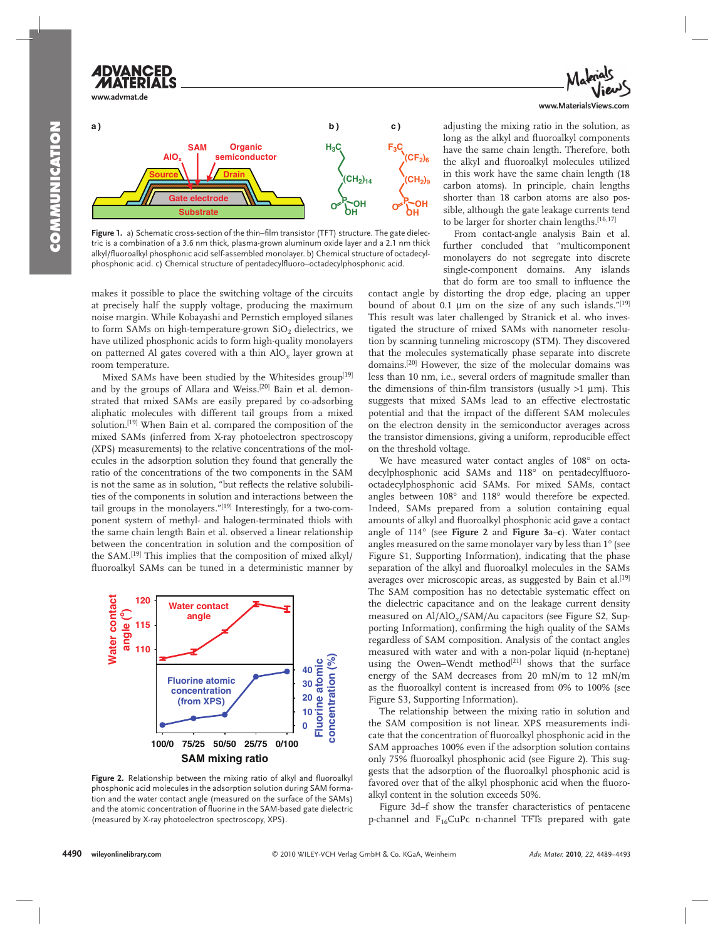**www.advmat.de**

**a ) b ) c ) Substrate Gate electrode Organic semiconductor SAM** Source **\ | /** Drain **AlOx H3C**  $CH<sub>2</sub>)<sub>14</sub>$ **P OH OH <sup>O</sup>**  $F_3C_3$ **(CF2)6 (CH2)9 P** OH **OH <sup>O</sup>**

Figure 1. a) Schematic cross-section of the thin–film transistor (TFT) structure. The gate dielectric is a combination of a 3.6 nm thick, plasma-grown aluminum oxide layer and a 2.1 nm thick alkyl/fluoroalkyl phosphonic acid self-assembled monolayer. b) Chemical structure of octadecylphosphonic acid. c) Chemical structure of pentadecylfluoro–octadecylphosphonic acid.

makes it possible to place the switching voltage of the circuits at precisely half the supply voltage, producing the maximum noise margin. While Kobayashi and Pernstich employed silanes to form SAMs on high-temperature-grown  $SiO<sub>2</sub>$  dielectrics, we have utilized phosphonic acids to form high-quality monolayers on patterned Al gates covered with a thin AlO<sub>x</sub> layer grown at room temperature.

Mixed SAMs have been studied by the Whitesides group<sup>[19]</sup> and by the groups of Allara and Weiss.<sup>[20]</sup> Bain et al. demonstrated that mixed SAMs are easily prepared by co-adsorbing aliphatic molecules with different tail groups from a mixed solution.<sup>[19]</sup> When Bain et al. compared the composition of the mixed SAMs (inferred from X-ray photoelectron spectroscopy (XPS) measurements) to the relative concentrations of the molecules in the adsorption solution they found that generally the ratio of the concentrations of the two components in the SAM is not the same as in solution, "but reflects the relative solubilities of the components in solution and interactions between the tail groups in the monolayers."<sup>[19]</sup> Interestingly, for a two-component system of methyl- and halogen-terminated thiols with the same chain length Bain et al. observed a linear relationship between the concentration in solution and the composition of the SAM.<sup>[19]</sup> This implies that the composition of mixed alkyl/ fluoroalkyl SAMs can be tuned in a deterministic manner by



Figure 2. Relationship between the mixing ratio of alkyl and fluoroalkyl phosphonic acid molecules in the adsorption solution during SAM formation and the water contact angle (measured on the surface of the SAMs) and the atomic concentration of fluorine in the SAM-based gate dielectric (measured by X-ray photoelectron spectroscopy, XPS).



adjusting the mixing ratio in the solution, as long as the alkyl and fluoroalkyl components have the same chain length. Therefore, both the alkyl and fluoroalkyl molecules utilized in this work have the same chain length (18 carbon atoms). In principle, chain lengths shorter than 18 carbon atoms are also possible, although the gate leakage currents tend to be larger for shorter chain lengths.<sup>[16,17]</sup>

 From contact-angle analysis Bain et al. further concluded that "multicomponent monolayers do not segregate into discrete single-component domains. Any islands that do form are too small to influence the

contact angle by distorting the drop edge, placing an upper bound of about 0.1  $\mu$ m on the size of any such islands."<sup>[19]</sup> This result was later challenged by Stranick et al. who investigated the structure of mixed SAMs with nanometer resolution by scanning tunneling microscopy (STM). They discovered that the molecules systematically phase separate into discrete domains.<sup>[20]</sup> However, the size of the molecular domains was less than 10 nm, i.e., several orders of magnitude smaller than the dimensions of thin-film transistors (usually  $>1$  µm). This suggests that mixed SAMs lead to an effective electrostatic potential and that the impact of the different SAM molecules on the electron density in the semiconductor averages across the transistor dimensions, giving a uniform, reproducible effect on the threshold voltage.

We have measured water contact angles of  $108^\circ$  on octadecylphosphonic acid SAMs and 118° on pentadecylfluorooctadecylphosphonic acid SAMs. For mixed SAMs, contact angles between  $108^\circ$  and  $118^\circ$  would therefore be expected. Indeed, SAMs prepared from a solution containing equal amounts of alkyl and fluoroalkyl phosphonic acid gave a contact angle of 114° (see Figure 2 and Figure 3a-c). Water contact angles measured on the same monolayer vary by less than 1° (see Figure S1, Supporting Information), indicating that the phase separation of the alkyl and fluoroalkyl molecules in the SAMs averages over microscopic areas, as suggested by Bain et al.<sup>[19]</sup> The SAM composition has no detectable systematic effect on the dielectric capacitance and on the leakage current density measured on Al/AlO<sub>x</sub>/SAM/Au capacitors (see Figure S2, Supporting Information), confirming the high quality of the SAMs regardless of SAM composition. Analysis of the contact angles measured with water and with a non-polar liquid (n-heptane) using the Owen-Wendt method<sup>[21]</sup> shows that the surface energy of the SAM decreases from 20 mN/m to 12 mN/m as the fluoroalkyl content is increased from 0% to 100% (see Figure S3, Supporting Information).

 The relationship between the mixing ratio in solution and the SAM composition is not linear. XPS measurements indicate that the concentration of fluoroalkyl phosphonic acid in the SAM approaches 100% even if the adsorption solution contains only 75% fluoroalkyl phosphonic acid (see Figure 2). This suggests that the adsorption of the fluoroalkyl phosphonic acid is favored over that of the alkyl phosphonic acid when the fluoroalkyl content in the solution exceeds 50%.

Figure 3d-f show the transfer characteristics of pentacene p-channel and  $F_{16}CuPc$  n-channel TFTs prepared with gate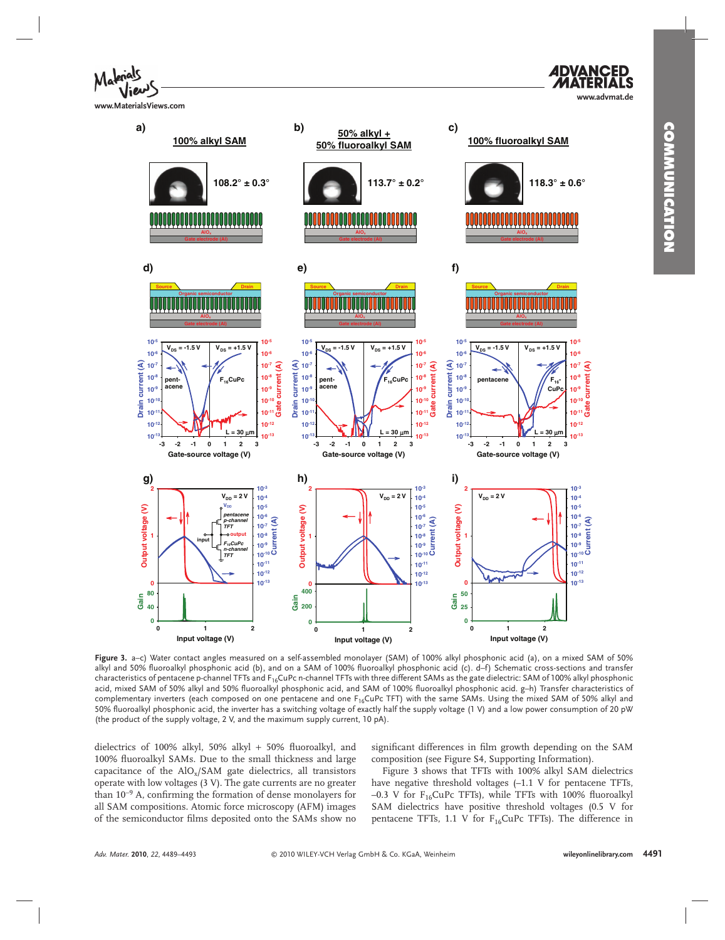**www.MaterialsViews.com**





 **Figure 3 .** a–c) Water contact angles measured on a self-assembled monolayer (SAM) of 100% alkyl phosphonic acid (a), on a mixed SAM of 50% alkyl and 50% fluoroalkyl phosphonic acid (b), and on a SAM of 100% fluoroalkyl phosphonic acid (c). d–f) Schematic cross-sections and transfer characteristics of pentacene p-channel TFTs and F<sub>16</sub>CuPc n-channel TFTs with three different SAMs as the gate dielectric: SAM of 100% alkyl phosphonic acid, mixed SAM of 50% alkyl and 50% fluoroalkyl phosphonic acid, and SAM of 100% fluoroalkyl phosphonic acid. g–h) Transfer characteristics of complementary inverters (each composed on one pentacene and one  $F_{16}$ CuPc TFT) with the same SAMs. Using the mixed SAM of 50% alkyl and 50% fluoroalkyl phosphonic acid, the inverter has a switching voltage of exactly half the supply voltage (1 V) and a low power consumption of 20 pW (the product of the supply voltage, 2 V, and the maximum supply current, 10 pA).

dielectrics of 100% alkyl, 50% alkyl + 50% fluoroalkyl, and 100% fluoroalkyl SAMs. Due to the small thickness and large capacitance of the  $AIO_x/SAM$  gate dielectrics, all transistors operate with low voltages (3 V). The gate currents are no greater than 10<sup>-9</sup> A, confirming the formation of dense monolayers for all SAM compositions. Atomic force microscopy (AFM) images of the semiconductor films deposited onto the SAMs show no

significant differences in film growth depending on the SAM composition (see Figure S4, Supporting Information).

 Figure 3 shows that TFTs with 100% alkyl SAM dielectrics have negative threshold voltages  $(-1.1 \text{ V}$  for pentacene TFTs, –0.3 V for  $F_{16}$ CuPc TFTs), while TFTs with 100% fluoroalkyl SAM dielectrics have positive threshold voltages (0.5 V for pentacene TFTs, 1.1 V for  $F_{16}$ CuPc TFTs). The difference in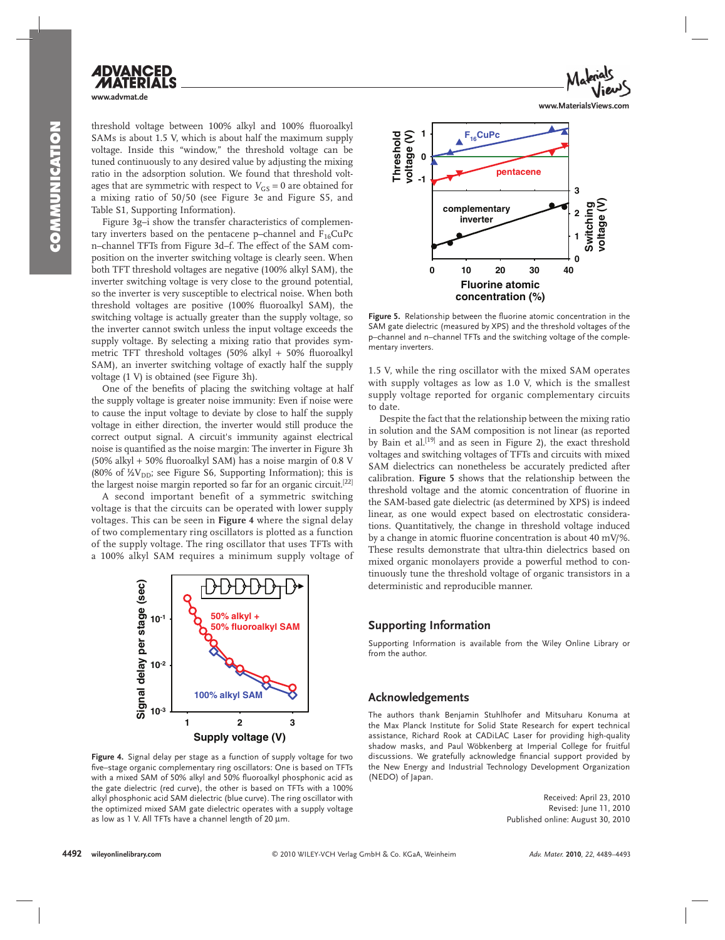# **www.advmat.de**

threshold voltage between 100% alkyl and 100% fluoroalkyl SAMs is about 1.5 V, which is about half the maximum supply voltage. Inside this "window," the threshold voltage can be tuned continuously to any desired value by adjusting the mixing ratio in the adsorption solution. We found that threshold voltages that are symmetric with respect to  $V_{GS} = 0$  are obtained for a mixing ratio of 50/50 (see Figure 3e and Figure S5, and Table S1, Supporting Information).

Figure 3g-i show the transfer characteristics of complementary inverters based on the pentacene p-channel and  $F_{16}CuPc$ n–channel TFTs from Figure 3d–f. The effect of the SAM composition on the inverter switching voltage is clearly seen. When both TFT threshold voltages are negative (100% alkyl SAM), the inverter switching voltage is very close to the ground potential, so the inverter is very susceptible to electrical noise. When both threshold voltages are positive (100% fluoroalkyl SAM), the switching voltage is actually greater than the supply voltage, so the inverter cannot switch unless the input voltage exceeds the supply voltage. By selecting a mixing ratio that provides symmetric TFT threshold voltages (50% alkyl + 50% fluoroalkyl SAM), an inverter switching voltage of exactly half the supply voltage (1 V) is obtained (see Figure 3h).

One of the benefits of placing the switching voltage at half the supply voltage is greater noise immunity: Even if noise were to cause the input voltage to deviate by close to half the supply voltage in either direction, the inverter would still produce the correct output signal. A circuit's immunity against electrical noise is quantified as the noise margin: The inverter in Figure 3h (50% alkyl + 50% fluoroalkyl SAM) has a noise margin of 0.8 V (80% of  $\frac{1}{2}V_{DD}$ ; see Figure S6, Supporting Information); this is the largest noise margin reported so far for an organic circuit. [22]

 A second important benefit of a symmetric switching voltage is that the circuits can be operated with lower supply voltages. This can be seen in **Figure 4** where the signal delay of two complementary ring oscillators is plotted as a function of the supply voltage. The ring oscillator that uses TFTs with a 100% alkyl SAM requires a minimum supply voltage of



Figure 4. Signal delay per stage as a function of supply voltage for two five–stage organic complementary ring oscillators: One is based on TFTs with a mixed SAM of 50% alkyl and 50% fluoroalkyl phosphonic acid as the gate dielectric (red curve), the other is based on TFTs with a 100% alkyl phosphonic acid SAM dielectric (blue curve). The ring oscillator with the optimized mixed SAM gate dielectric operates with a supply voltage as low as 1 V. All TFTs have a channel length of 20  $\mu$ m.





Figure 5. Relationship between the fluorine atomic concentration in the SAM gate dielectric (measured by XPS) and the threshold voltages of the p–channel and n–channel TFTs and the switching voltage of the complementary inverters.

1.5 V, while the ring oscillator with the mixed SAM operates with supply voltages as low as 1.0 V, which is the smallest supply voltage reported for organic complementary circuits to date.

 Despite the fact that the relationship between the mixing ratio in solution and the SAM composition is not linear (as reported by Bain et al.<sup>[19]</sup> and as seen in Figure 2), the exact threshold voltages and switching voltages of TFTs and circuits with mixed SAM dielectrics can nonetheless be accurately predicted after calibration. **Figure 5** shows that the relationship between the threshold voltage and the atomic concentration of fluorine in the SAM-based gate dielectric (as determined by XPS) is indeed linear, as one would expect based on electrostatic considerations. Quantitatively, the change in threshold voltage induced by a change in atomic fluorine concentration is about 40 mV/%. These results demonstrate that ultra-thin dielectrics based on mixed organic monolayers provide a powerful method to continuously tune the threshold voltage of organic transistors in a deterministic and reproducible manner.

### **Supporting Information**

Supporting Information is available from the Wiley Online Library or from the author.

#### **Acknowledgements**

 The authors thank Benjamin Stuhlhofer and Mitsuharu Konuma at the Max Planck Institute for Solid State Research for expert technical assistance, Richard Rook at CADiLAC Laser for providing high-quality shadow masks, and Paul Wöbkenberg at Imperial College for fruitful discussions. We gratefully acknowledge financial support provided by the New Energy and Industrial Technology Development Organization (NEDO) of Japan.

> Received: April 23, 2010 Revised: June 11, 2010 Published online: August 30, 2010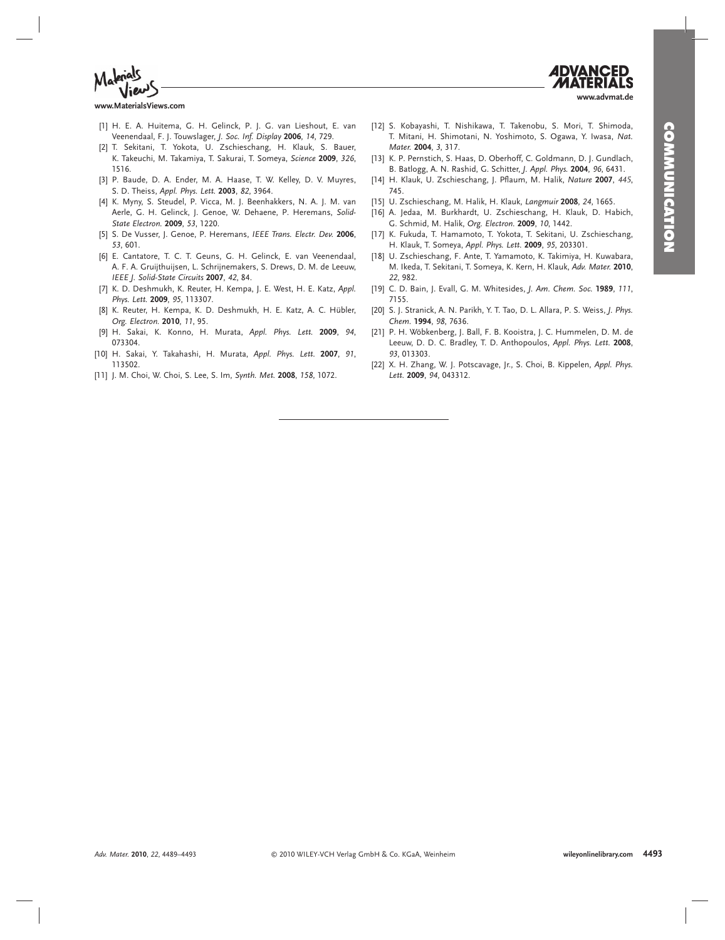



**www.MaterialsViews.com**

- [1] H. E. A. Huitema, G. H. Gelinck, P. J. G. van Lieshout, E. van Veenendaal , F. J. Touwslager , *J. Soc. Inf. Display* **2006** , *14* , 729.
- [2] T. Sekitani, T. Yokota, U. Zschieschang, H. Klauk, S. Bauer, K. Takeuchi, M. Takamiya, T. Sakurai, T. Someya, Science 2009, 326, 1516.
- [3] P. Baude, D. A. Ender, M. A. Haase, T. W. Kelley, D. V. Muyres, S. D. Theiss , *Appl. Phys. Lett.* **2003** , *82* , 3964.
- [4] K. Myny, S. Steudel, P. Vicca, M. J. Beenhakkers, N. A. J. M. van Aerle, G. H. Gelinck, J. Genoe, W. Dehaene, P. Heremans, Solid-*State Electron.* **2009** , *53* , 1220.
- [ 5 ] S. De Vusser , J. Genoe , P. Heremans , *IEEE Trans. Electr. Dev.* **2006** , *53* , 601.
- [6] E. Cantatore, T. C. T. Geuns, G. H. Gelinck, E. van Veenendaal, A. F. A. Gruijthuijsen, L. Schrijnemakers, S. Drews, D. M. de Leeuw, *IEEE J. Solid-State Circuits* **2007** , *42* , 84.
- [7] K. D. Deshmukh, K. Reuter, H. Kempa, J. E. West, H. E. Katz, Appl. *Phys. Lett.* **2009** , *95* , 113307 .
- [8] K. Reuter, H. Kempa, K. D. Deshmukh, H. E. Katz, A. C. Hübler, *Org. Electron.* **2010** , *11* , 95.
- [9] H. Sakai, K. Konno, H. Murata, Appl. Phys. Lett. 2009, 94, 073304.
- [ 10 ] H. Sakai , Y. Takahashi , H. Murata , *Appl. Phys. Lett.* **2007** , *91* , 113502.
- [11] J. M. Choi, W. Choi, S. Lee, S. Im, Synth. Met. 2008, 158, 1072.
- [12] S. Kobayashi, T. Nishikawa, T. Takenobu, S. Mori, T. Shimoda, T. Mitani, H. Shimotani, N. Yoshimoto, S. Ogawa, Y. Iwasa, Nat. *Mater.* **2004**, 3, 317.
- [13] K. P. Pernstich, S. Haas, D. Oberhoff, C. Goldmann, D. J. Gundlach, B. Batlogg , A. N. Rashid , G. Schitter , *J. Appl. Phys.* **2004** , *96* , 6431.
- [14] H. Klauk, U. Zschieschang, J. Pflaum, M. Halik, *Nature* 2007, 445, 745.
- [ 15 ] U. Zschieschang , M. Halik , H. Klauk , *Langmuir* **2008** , *24* , 1665.
- [16] A. Jedaa, M. Burkhardt, U. Zschieschang, H. Klauk, D. Habich, G. Schmid, M. Halik, Org. Electron. 2009, 10, 1442.
- [17] K. Fukuda, T. Hamamoto, T. Yokota, T. Sekitani, U. Zschieschang, H. Klauk , T. Someya , *Appl. Phys. Lett.* **2009** , *95* , 203301.
- [18] U. Zschieschang, F. Ante, T. Yamamoto, K. Takimiya, H. Kuwabara, M. Ikeda, T. Sekitani, T. Someya, K. Kern, H. Klauk, Adv. Mater. 2010, *22* , 982.
- [19] C. D. Bain, J. Evall, G. M. Whitesides, J. Am. Chem. Soc. 1989, 111, 7155.
- [20] S. J. Stranick, A. N. Parikh, Y. T. Tao, D. L. Allara, P. S. Weiss, *J. Phys. Chem.* **1994** , *98* , 7636.
- [21] P. H. Wöbkenberg, J. Ball, F. B. Kooistra, J. C. Hummelen, D. M. de Leeuw, D. D. C. Bradley, T. D. Anthopoulos, Appl. Phys. Lett. 2008, *93* , 013303.
- [22] X. H. Zhang, W. J. Potscavage, Jr., S. Choi, B. Kippelen, Appl. Phys. *Lett.* **2009** , *94* , 043312.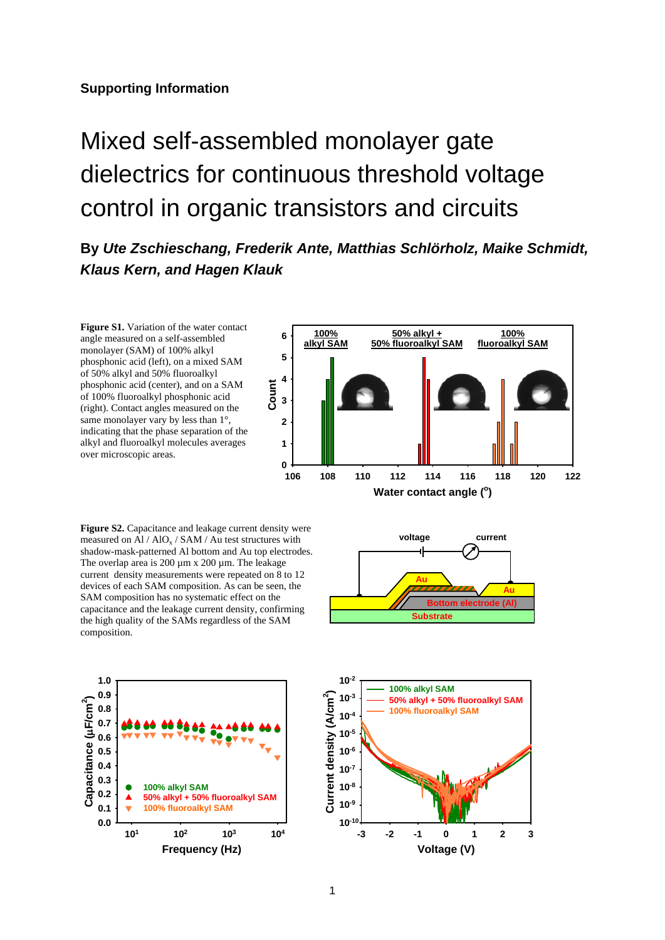## Mixed self-assembled monolayer gate dielectrics for continuous threshold voltage control in organic transistors and circuits

**By** *Ute Zschieschang, Frederik Ante, Matthias Schlörholz, Maike Schmidt, Klaus Kern, and Hagen Klauk* 

Figure S1. Variation of the water contact angle measured on a self-assembled monolayer (SAM) of 100% alkyl phosphonic acid (left), on a mixed SAM of 50% alkyl and 50% fluoroalkyl phosphonic acid (center), and on a SAM of 100% fluoroalkyl phosphonic acid (right). Contact angles measured on the same monolayer vary by less than  $1^{\circ}$ , indicating that the phase separation of the alkyl and fluoroalkyl molecules averages over microscopic areas.



**Figure S2.** Capacitance and leakage current density were measured on Al /  $AIO<sub>x</sub>$  /  $SAM$  /  $Au$  test structures with shadow-mask-patterned Al bottom and Au top electrodes. The overlap area is 200 µm x 200 µm. The leakage current density measurements were repeated on 8 to 12 devices of each SAM composition. As can be seen, the SAM composition has no systematic effect on the capacitance and the leakage current density, confirming the high quality of the SAMs regardless of the SAM composition.





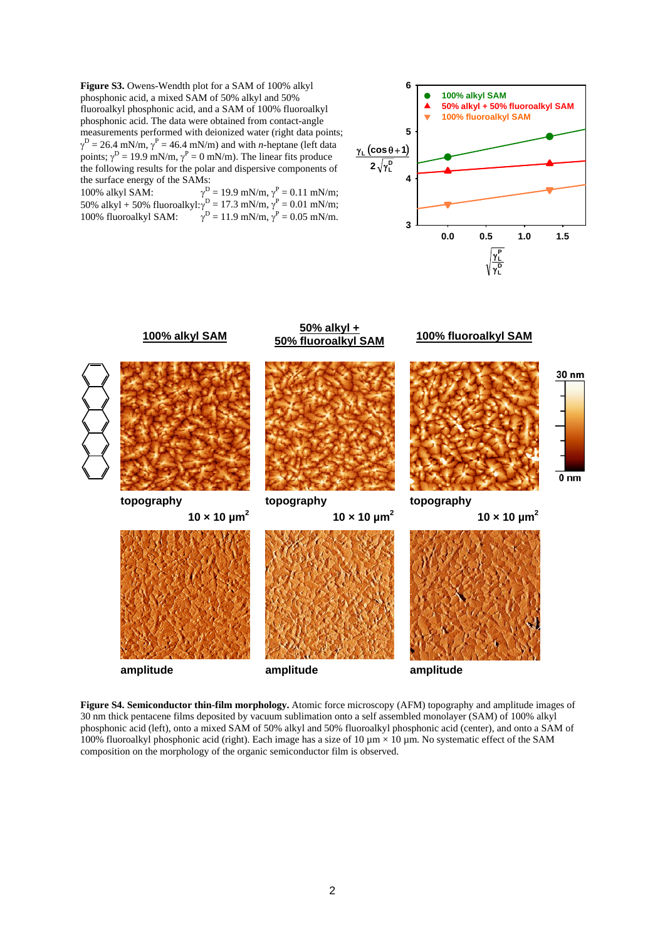**Figure S3.** Owens-Wendth plot for a SAM of 100% alkyl phosphonic acid, a mixed SAM of 50% alkyl and 50% fluoroalkyl phosphonic acid, and a SAM of 100% fluoroalkyl phosphonic acid. The data were obtained from contact-angle measurements performed with deionized water (right data points;  $\gamma^{\text{D}} = 26.4 \text{ mN/m}, \gamma^{\text{P}} = 46.4 \text{ mN/m}$ ) and with *n*-heptane (left data points;  $\gamma^D = 19.9 \text{ mN/m}, \gamma^P = 0 \text{ mN/m}.$  The linear fits produce the following results for the polar and dispersive components of the surface energy of the SAMs:

100% alkyl SAM:  $\gamma^D = 19.9 \text{ mN/m}, \gamma^P = 0.11 \text{ mN/m};$ 50% alkyl + 50% fluoroalkyl: $\gamma^D = 17.3$  mN/m,  $\gamma^P = 0.01$  mN/m; 100% fluoroalkyl SAM:  $\gamma^D = 11.9 \text{ mN/m}, \gamma^P = 0.05 \text{ mN/m}.$ 





**Figure S4. Semiconductor thin-film morphology.** Atomic force microscopy (AFM) topography and amplitude images of 30 nm thick pentacene films deposited by vacuum sublimation onto a self assembled monolayer (SAM) of 100% alkyl phosphonic acid (left), onto a mixed SAM of 50% alkyl and 50% fluoroalkyl phosphonic acid (center), and onto a SAM of 100% fluoroalkyl phosphonic acid (right). Each image has a size of 10  $\mu$ m × 10  $\mu$ m. No systematic effect of the SAM composition on the morphology of the organic semiconductor film is observed.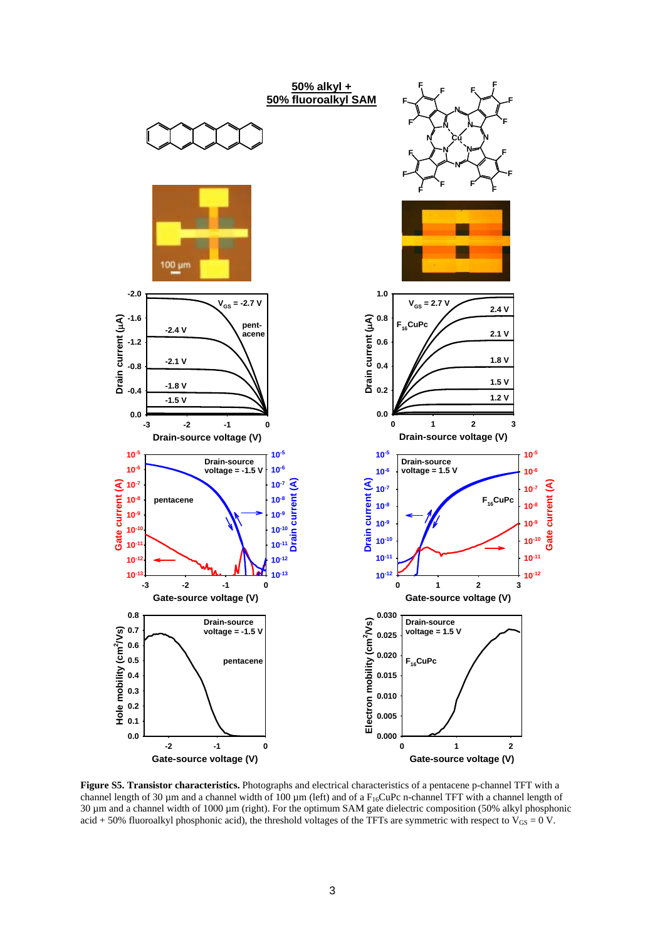

**Figure S5. Transistor characteristics.** Photographs and electrical characteristics of a pentacene p-channel TFT with a channel length of 30  $\mu$ m and a channel width of 100  $\mu$ m (left) and of a F<sub>16</sub>CuPc n-channel TFT with a channel length of 30 µm and a channel width of 1000 µm (right). For the optimum SAM gate dielectric composition (50% alkyl phosphonic acid + 50% fluoroalkyl phosphonic acid), the threshold voltages of the TFTs are symmetric with respect to  $V_{GS} = 0$  V.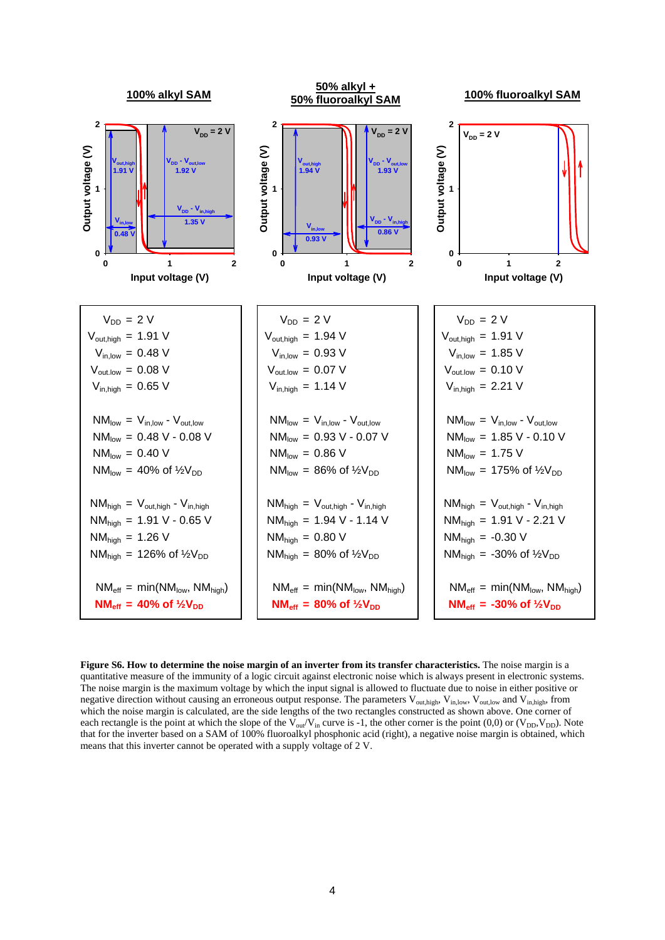

**Figure S6. How to determine the noise margin of an inverter from its transfer characteristics.** The noise margin is a quantitative measure of the immunity of a logic circuit against electronic noise which is always present in electronic systems. The noise margin is the maximum voltage by which the input signal is allowed to fluctuate due to noise in either positive or negative direction without causing an erroneous output response. The parameters V<sub>out,high</sub>, V<sub>in,low</sub>, V<sub>out,low</sub> and V<sub>in,high</sub>, from which the noise margin is calculated, are the side lengths of the two rectangles constructed as shown above. One corner of each rectangle is the point at which the slope of the  $V_{\text{out}}/V_{\text{in}}$  curve is -1, the other corner is the point (0,0) or ( $V_{\text{DD}}, V_{\text{DD}}$ ). Note that for the inverter based on a SAM of 100% fluoroalkyl phosphonic acid (right), a negative noise margin is obtained, which means that this inverter cannot be operated with a supply voltage of 2 V.